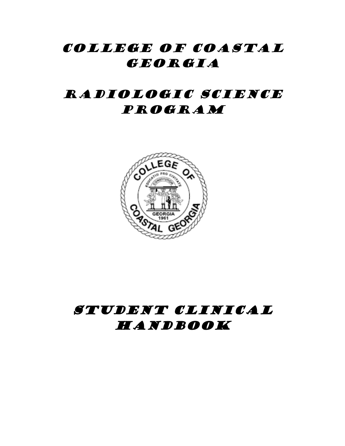## COLLEGE OF COASTAL GEORGIA

# RADIOLOGIC SCIENCE Program



# Student Clinical **HANDBOOK**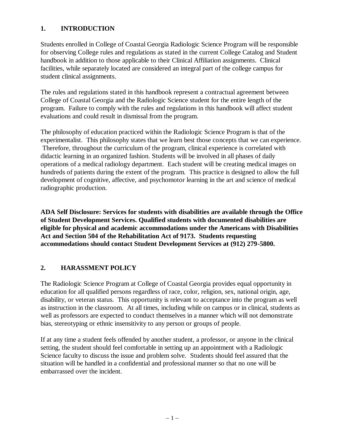### **1. INTRODUCTION**

Students enrolled in College of Coastal Georgia Radiologic Science Program will be responsible for observing College rules and regulations as stated in the current College Catalog and Student handbook in addition to those applicable to their Clinical Affiliation assignments. Clinical facilities, while separately located are considered an integral part of the college campus for student clinical assignments.

The rules and regulations stated in this handbook represent a contractual agreement between College of Coastal Georgia and the Radiologic Science student for the entire length of the program. Failure to comply with the rules and regulations in this handbook will affect student evaluations and could result in dismissal from the program.

The philosophy of education practiced within the Radiologic Science Program is that of the experimentalist. This philosophy states that we learn best those concepts that we can experience. Therefore, throughout the curriculum of the program, clinical experience is correlated with didactic learning in an organized fashion. Students will be involved in all phases of daily operations of a medical radiology department. Each student will be creating medical images on hundreds of patients during the extent of the program. This practice is designed to allow the full development of cognitive, affective, and psychomotor learning in the art and science of medical radiographic production.

**ADA Self Disclosure: Services for students with disabilities are available through the Office of Student Development Services. Qualified students with documented disabilities are eligible for physical and academic accommodations under the Americans with Disabilities Act and Section 504 of the Rehabilitation Act of 9173. Students requesting accommodations should contact Student Development Services at (912) 279-5800.**

## **2. HARASSMENT POLICY**

The Radiologic Science Program at College of Coastal Georgia provides equal opportunity in education for all qualified persons regardless of race, color, religion, sex, national origin, age, disability, or veteran status. This opportunity is relevant to acceptance into the program as well as instruction in the classroom. At all times, including while on campus or in clinical, students as well as professors are expected to conduct themselves in a manner which will not demonstrate bias, stereotyping or ethnic insensitivity to any person or groups of people.

If at any time a student feels offended by another student, a professor, or anyone in the clinical setting, the student should feel comfortable in setting up an appointment with a Radiologic Science faculty to discuss the issue and problem solve. Students should feel assured that the situation will be handled in a confidential and professional manner so that no one will be embarrassed over the incident.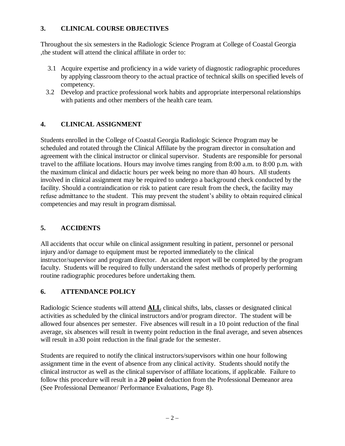## **3. CLINICAL COURSE OBJECTIVES**

Throughout the six semesters in the Radiologic Science Program at College of Coastal Georgia ,the student will attend the clinical affiliate in order to:

- 3.1 Acquire expertise and proficiency in a wide variety of diagnostic radiographic procedures by applying classroom theory to the actual practice of technical skills on specified levels of competency.
- 3.2 Develop and practice professional work habits and appropriate interpersonal relationships with patients and other members of the health care team.

## **4. CLINICAL ASSIGNMENT**

Students enrolled in the College of Coastal Georgia Radiologic Science Program may be scheduled and rotated through the Clinical Affiliate by the program director in consultation and agreement with the clinical instructor or clinical supervisor. Students are responsible for personal travel to the affiliate locations. Hours may involve times ranging from 8:00 a.m. to 8:00 p.m. with the maximum clinical and didactic hours per week being no more than 40 hours. All students involved in clinical assignment may be required to undergo a background check conducted by the facility. Should a contraindication or risk to patient care result from the check, the facility may refuse admittance to the student. This may prevent the student's ability to obtain required clinical competencies and may result in program dismissal.

## **5. ACCIDENTS**

All accidents that occur while on clinical assignment resulting in patient, personnel or personal injury and/or damage to equipment must be reported immediately to the clinical instructor/supervisor and program director. An accident report will be completed by the program faculty. Students will be required to fully understand the safest methods of properly performing routine radiographic procedures before undertaking them.

## **6. ATTENDANCE POLICY**

Radiologic Science students will attend **ALL** clinical shifts, labs, classes or designated clinical activities as scheduled by the clinical instructors and/or program director. The student will be allowed four absences per semester. Five absences will result in a 10 point reduction of the final average, six absences will result in twenty point reduction in the final average, and seven absences will result in a30 point reduction in the final grade for the semester.

Students are required to notify the clinical instructors/supervisors within one hour following assignment time in the event of absence from any clinical activity. Students should notify the clinical instructor as well as the clinical supervisor of affiliate locations, if applicable. Failure to follow this procedure will result in a **20 point** deduction from the Professional Demeanor area (See Professional Demeanor/ Performance Evaluations, Page 8).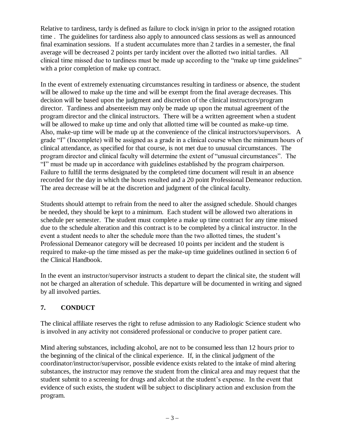Relative to tardiness, tardy is defined as failure to clock in/sign in prior to the assigned rotation time . The guidelines for tardiness also apply to announced class sessions as well as announced final examination sessions. If a student accumulates more than 2 tardies in a semester, the final average will be decreased 2 points per tardy incident over the allotted two initial tardies. All clinical time missed due to tardiness must be made up according to the "make up time guidelines" with a prior completion of make up contract.

In the event of extremely extenuating circumstances resulting in tardiness or absence, the student will be allowed to make up the time and will be exempt from the final average decreases. This decision will be based upon the judgment and discretion of the clinical instructors/program director. Tardiness and absenteeism may only be made up upon the mutual agreement of the program director and the clinical instructors. There will be a written agreement when a student will be allowed to make up time and only that allotted time will be counted as make-up time. Also, make-up time will be made up at the convenience of the clinical instructors/supervisors. A grade "I" (Incomplete) will be assigned as a grade in a clinical course when the minimum hours of clinical attendance, as specified for that course, is not met due to unusual circumstances. The program director and clinical faculty will determine the extent of "unusual circumstances". The "I" must be made up in accordance with guidelines established by the program chairperson. Failure to fulfill the terms designated by the completed time document will result in an absence recorded for the day in which the hours resulted and a 20 point Professional Demeanor reduction. The area decrease will be at the discretion and judgment of the clinical faculty.

Students should attempt to refrain from the need to alter the assigned schedule. Should changes be needed, they should be kept to a minimum. Each student will be allowed two alterations in schedule per semester. The student must complete a make up time contract for any time missed due to the schedule alteration and this contract is to be completed by a clinical instructor. In the event a student needs to alter the schedule more than the two allotted times, the student's Professional Demeanor category will be decreased 10 points per incident and the student is required to make-up the time missed as per the make-up time guidelines outlined in section 6 of the Clinical Handbook.

In the event an instructor/supervisor instructs a student to depart the clinical site, the student will not be charged an alteration of schedule. This departure will be documented in writing and signed by all involved parties.

## **7. CONDUCT**

The clinical affiliate reserves the right to refuse admission to any Radiologic Science student who is involved in any activity not considered professional or conducive to proper patient care.

Mind altering substances, including alcohol, are not to be consumed less than 12 hours prior to the beginning of the clinical of the clinical experience. If, in the clinical judgment of the coordinator/instructor/supervisor, possible evidence exists related to the intake of mind altering substances, the instructor may remove the student from the clinical area and may request that the student submit to a screening for drugs and alcohol at the student's expense. In the event that evidence of such exists, the student will be subject to disciplinary action and exclusion from the program.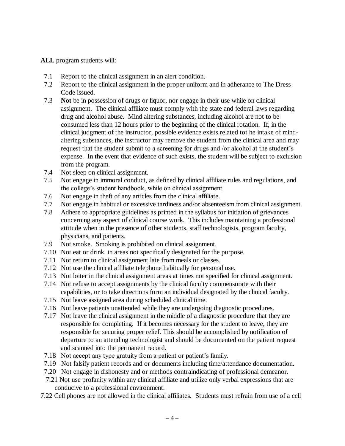#### **ALL** program students will:

- 7.1 Report to the clinical assignment in an alert condition.
- 7.2 Report to the clinical assignment in the proper uniform and in adherance to The Dress Code issued.
- 7.3 **Not** be in possession of drugs or liquor, nor engage in their use while on clinical assignment. The clinical affiliate must comply with the state and federal laws regarding drug and alcohol abuse. Mind altering substances, including alcohol are not to be consumed less than 12 hours prior to the beginning of the clinical rotation. If, in the clinical judgment of the instructor, possible evidence exists related tot he intake of mindaltering substances, the instructor may remove the student from the clinical area and may request that the student submit to a screening for drugs and /or alcohol at the student's expense. In the event that evidence of such exists, the student will be subject to exclusion from the program.
- 7.4 Not sleep on clinical assignment.
- 7.5 Not engage in immoral conduct, as defined by clinical affiliate rules and regulations, and the college's student handbook, while on clinical assignment.
- 7.6 Not engage in theft of any articles from the clinical affiliate.
- 7.7 Not engage in habitual or excessive tardiness and/or absenteeism from clinical assignment.
- 7.8 Adhere to appropriate guidelines as printed in the syllabus for initiation of grievances concerning any aspect of clinical course work. This includes maintaining a professional attitude when in the presence of other students, staff technologists, program faculty, physicians, and patients.
- 7.9 Not smoke. Smoking is prohibited on clinical assignment.
- 7.10 Not eat or drink in areas not specifically designated for the purpose.
- 7.11 Not return to clinical assignment late from meals or classes.
- 7.12 Not use the clinical affiliate telephone habitually for personal use.
- 7.13 Not loiter in the clinical assignment areas at times not specified for clinical assignment.
- 7.14 Not refuse to accept assignments by the clinical faculty commensurate with their capabilities, or to take directions form an individual designated by the clinical faculty.
- 7.15 Not leave assigned area during scheduled clinical time.
- 7.16 Not leave patients unattended while they are undergoing diagnostic procedures.
- 7.17 Not leave the clinical assignment in the middle of a diagnostic procedure that they are responsible for completing. If it becomes necessary for the student to leave, they are responsible for securing proper relief. This should be accomplished by notification of departure to an attending technologist and should be documented on the patient request and scanned into the permanent record.
- 7.18 Not accept any type gratuity from a patient or patient's family.
- 7.19 Not falsify patient records and or documents including time/attendance documentation.
- 7.20 Not engage in dishonesty and or methods contraindicating of professional demeanor.
- 7.21 Not use profanity within any clinical affiliate and utilize only verbal expressions that are conducive to a professional environment.
- 7.22 Cell phones are not allowed in the clinical affiliates. Students must refrain from use of a cell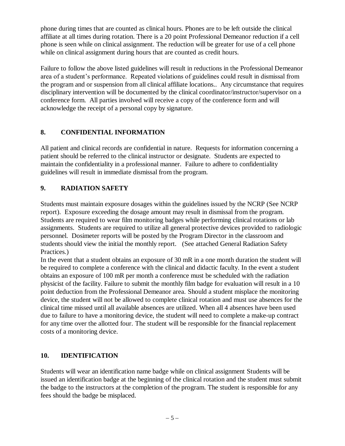phone during times that are counted as clinical hours. Phones are to be left outside the clinical affiliate at all times during rotation. There is a 20 point Professional Demeanor reduction if a cell phone is seen while on clinical assignment. The reduction will be greater for use of a cell phone while on clinical assignment during hours that are counted as credit hours.

Failure to follow the above listed guidelines will result in reductions in the Professional Demeanor area of a student's performance. Repeated violations of guidelines could result in dismissal from the program and or suspension from all clinical affiliate locations.. Any circumstance that requires disciplinary intervention will be documented by the clinical coordinator/instructor/supervisor on a conference form. All parties involved will receive a copy of the conference form and will acknowledge the receipt of a personal copy by signature.

### **8. CONFIDENTIAL INFORMATION**

All patient and clinical records are confidential in nature. Requests for information concerning a patient should be referred to the clinical instructor or designate. Students are expected to maintain the confidentiality in a professional manner. Failure to adhere to confidentiality guidelines will result in immediate dismissal from the program.

### **9. RADIATION SAFETY**

Students must maintain exposure dosages within the guidelines issued by the NCRP (See NCRP report). Exposure exceeding the dosage amount may result in dismissal from the program. Students are required to wear film monitoring badges while performing clinical rotations or lab assignments. Students are required to utilize all general protective devices provided to radiologic personnel. Dosimeter reports will be posted by the Program Director in the classroom and students should view the initial the monthly report. (See attached General Radiation Safety Practices.)

In the event that a student obtains an exposure of 30 mR in a one month duration the student will be required to complete a conference with the clinical and didactic faculty. In the event a student obtains an exposure of 100 mR per month a conference must be scheduled with the radiation physicist of the facility. Failure to submit the monthly film badge for evaluation will result in a 10 point deduction from the Professional Demeanor area. Should a student misplace the monitoring device, the student will not be allowed to complete clinical rotation and must use absences for the clinical time missed until all available absences are utilized. When all 4 absences have been used due to failure to have a monitoring device, the student will need to complete a make-up contract for any time over the allotted four. The student will be responsible for the financial replacement costs of a monitoring device.

#### **10. IDENTIFICATION**

Students will wear an identification name badge while on clinical assignment Students will be issued an identification badge at the beginning of the clinical rotation and the student must submit the badge to the instructors at the completion of the program. The student is responsible for any fees should the badge be misplaced.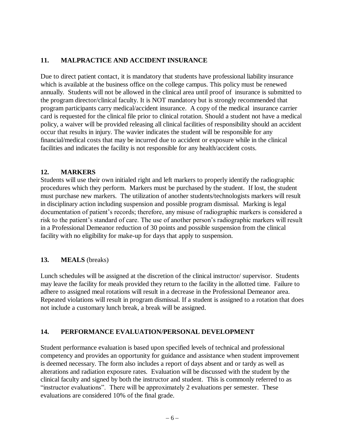## **11. MALPRACTICE AND ACCIDENT INSURANCE**

Due to direct patient contact, it is mandatory that students have professional liability insurance which is available at the business office on the college campus. This policy must be renewed annually. Students will not be allowed in the clinical area until proof of insurance is submitted to the program director/clinical faculty. It is NOT mandatory but is strongly recommended that program participants carry medical/accident insurance. A copy of the medical insurance carrier card is requested for the clinical file prior to clinical rotation. Should a student not have a medical policy, a waiver will be provided releasing all clinical facilities of responsibility should an accident occur that results in injury. The wavier indicates the student will be responsible for any financial/medical costs that may be incurred due to accident or exposure while in the clinical facilities and indicates the facility is not responsible for any health/accident costs.

#### **12. MARKERS**

Students will use their own initialed right and left markers to properly identify the radiographic procedures which they perform. Markers must be purchased by the student. If lost, the student must purchase new markers. The utilization of another students/technologists markers will result in disciplinary action including suspension and possible program dismissal. Marking is legal documentation of patient's records; therefore, any misuse of radiographic markers is considered a risk to the patient's standard of care. The use of another person's radiographic markers will result in a Professional Demeanor reduction of 30 points and possible suspension from the clinical facility with no eligibility for make-up for days that apply to suspension.

#### **13. MEALS** (breaks)

Lunch schedules will be assigned at the discretion of the clinical instructor/ supervisor. Students may leave the facility for meals provided they return to the facility in the allotted time. Failure to adhere to assigned meal rotations will result in a decrease in the Professional Demeanor area. Repeated violations will result in program dismissal. If a student is assigned to a rotation that does not include a customary lunch break, a break will be assigned.

#### **14. PERFORMANCE EVALUATION/PERSONAL DEVELOPMENT**

Student performance evaluation is based upon specified levels of technical and professional competency and provides an opportunity for guidance and assistance when student improvement is deemed necessary. The form also includes a report of days absent and or tardy as well as alterations and radiation exposure rates. Evaluation will be discussed with the student by the clinical faculty and signed by both the instructor and student. This is commonly referred to as "instructor evaluations". There will be approximately 2 evaluations per semester. These evaluations are considered 10% of the final grade.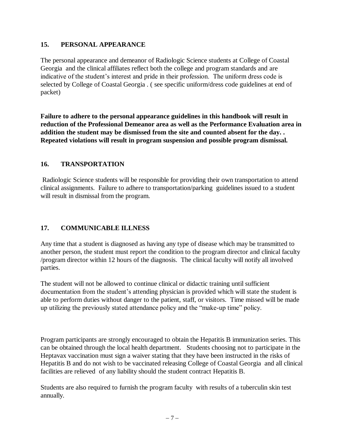#### **15. PERSONAL APPEARANCE**

The personal appearance and demeanor of Radiologic Science students at College of Coastal Georgia and the clinical affiliates reflect both the college and program standards and are indicative of the student's interest and pride in their profession. The uniform dress code is selected by College of Coastal Georgia . ( see specific uniform/dress code guidelines at end of packet)

**Failure to adhere to the personal appearance guidelines in this handbook will result in reduction of the Professional Demeanor area as well as the Performance Evaluation area in addition the student may be dismissed from the site and counted absent for the day. . Repeated violations will result in program suspension and possible program dismissal.**

## **16. TRANSPORTATION**

Radiologic Science students will be responsible for providing their own transportation to attend clinical assignments. Failure to adhere to transportation/parking guidelines issued to a student will result in dismissal from the program.

## **17. COMMUNICABLE ILLNESS**

Any time that a student is diagnosed as having any type of disease which may be transmitted to another person, the student must report the condition to the program director and clinical faculty /program director within 12 hours of the diagnosis. The clinical faculty will notify all involved parties.

The student will not be allowed to continue clinical or didactic training until sufficient documentation from the student's attending physician is provided which will state the student is able to perform duties without danger to the patient, staff, or visitors. Time missed will be made up utilizing the previously stated attendance policy and the "make-up time" policy.

Program participants are strongly encouraged to obtain the Hepatitis B immunization series. This can be obtained through the local health department. Students choosing not to participate in the Heptavax vaccination must sign a waiver stating that they have been instructed in the risks of Hepatitis B and do not wish to be vaccinated releasing College of Coastal Georgia and all clinical facilities are relieved of any liability should the student contract Hepatitis B.

Students are also required to furnish the program faculty with results of a tuberculin skin test annually.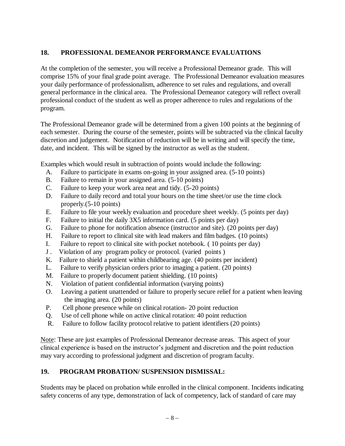## **18. PROFESSIONAL DEMEANOR PERFORMANCE EVALUATIONS**

At the completion of the semester, you will receive a Professional Demeanor grade. This will comprise 15% of your final grade point average. The Professional Demeanor evaluation measures your daily performance of professionalism, adherence to set rules and regulations, and overall general performance in the clinical area. The Professional Demeanor category will reflect overall professional conduct of the student as well as proper adherence to rules and regulations of the program.

The Professional Demeanor grade will be determined from a given 100 points at the beginning of each semester. During the course of the semester, points will be subtracted via the clinical faculty discretion and judgement. Notification of reduction will be in writing and will specify the time, date, and incident. This will be signed by the instructor as well as the student.

Examples which would result in subtraction of points would include the following:

- A. Failure to participate in exams on-going in your assigned area. (5-10 points)
- B. Failure to remain in your assigned area. (5-10 points)
- C. Failure to keep your work area neat and tidy. (5-20 points)
- D. Failure to daily record and total your hours on the time sheet/or use the time clock properly.(5-10 points)
- E. Failure to file your weekly evaluation and procedure sheet weekly. (5 points per day)
- F. Failure to initial the daily 3X5 information card. (5 points per day)
- G. Failure to phone for notification absence (instructor and site). (20 points per day)
- H. Failure to report to clinical site with lead makers and film badges. (10 points)
- I. Failure to report to clinical site with pocket notebook. ( 10 points per day)
- J . Violation of any program policy or protocol. (varied points )
- K. Failure to shield a patient within childbearing age. (40 points per incident)
- L. Failure to verify physician orders prior to imaging a patient. (20 points)
- M. Failure to properly document patient shielding. (10 points)
- N. Violation of patient confidential information (varying points)
- O. Leaving a patient unattended or failure to properly secure relief for a patient when leaving the imaging area. (20 points)
- P. Cell phone presence while on clinical rotation- 20 point reduction
- Q. Use of cell phone while on active clinical rotation: 40 point reduction
- R. Failure to follow facility protocol relative to patient identifiers (20 points)

Note: These are just examples of Professional Demeanor decrease areas. This aspect of your clinical experience is based on the instructor's judgment and discretion and the point reduction may vary according to professional judgment and discretion of program faculty.

## **19. PROGRAM PROBATION/ SUSPENSION DISMISSAL:**

Students may be placed on probation while enrolled in the clinical component. Incidents indicating safety concerns of any type, demonstration of lack of competency, lack of standard of care may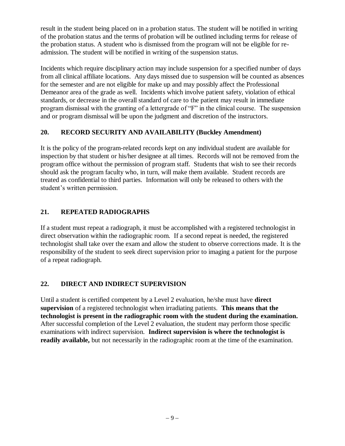result in the student being placed on in a probation status. The student will be notified in writing of the probation status and the terms of probation will be outlined including terms for release of the probation status. A student who is dismissed from the program will not be eligible for readmission. The student will be notified in writing of the suspension status.

Incidents which require disciplinary action may include suspension for a specified number of days from all clinical affiliate locations. Any days missed due to suspension will be counted as absences for the semester and are not eligible for make up and may possibly affect the Professional Demeanor area of the grade as well. Incidents which involve patient safety, violation of ethical standards, or decrease in the overall standard of care to the patient may result in immediate program dismissal with the granting of a lettergrade of "F" in the clinical course. The suspension and or program dismissal will be upon the judgment and discretion of the instructors.

### **20. RECORD SECURITY AND AVAILABILITY (Buckley Amendment)**

It is the policy of the program-related records kept on any individual student are available for inspection by that student or his/her designee at all times. Records will not be removed from the program office without the permission of program staff. Students that wish to see their records should ask the program faculty who, in turn, will make them available. Student records are treated as confidential to third parties. Information will only be released to others with the student's written permission.

## **21. REPEATED RADIOGRAPHS**

If a student must repeat a radiograph, it must be accomplished with a registered technologist in direct observation within the radiographic room. If a second repeat is needed, the registered technologist shall take over the exam and allow the student to observe corrections made. It is the responsibility of the student to seek direct supervision prior to imaging a patient for the purpose of a repeat radiograph.

## **22. DIRECT AND INDIRECT SUPERVISION**

Until a student is certified competent by a Level 2 evaluation, he/she must have **direct supervision** of a registered technologist when irradiating patients. **This means that the technologist is present in the radiographic room with the student during the examination.** After successful completion of the Level 2 evaluation, the student may perform those specific examinations with indirect supervision. **Indirect supervision is where the technologist is readily available,** but not necessarily in the radiographic room at the time of the examination.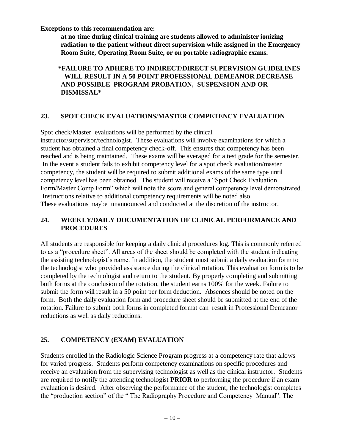**Exceptions to this recommendation are:**

**at no time during clinical training are students allowed to administer ionizing radiation to the patient without direct supervision while assigned in the Emergency Room Suite, Operating Room Suite, or on portable radiographic exams.**

### **\*FAILURE TO ADHERE TO INDIRECT/DIRECT SUPERVISION GUIDELINES WILL RESULT IN A 50 POINT PROFESSIONAL DEMEANOR DECREASE AND POSSIBLE PROGRAM PROBATION, SUSPENSION AND OR DISMISSAL\***

## **23. SPOT CHECK EVALUATIONS**/**MASTER COMPETENCY EVALUATION**

Spot check/Master evaluations will be performed by the clinical

instructor/supervisor/technologist. These evaluations will involve examinations for which a student has obtained a final competency check-off. This ensures that competency has been reached and is being maintained. These exams will be averaged for a test grade for the semester. In the event a student fails to exhibit competency level for a spot check evaluation/master competency, the student will be required to submit additional exams of the same type until competency level has been obtained. The student will receive a "Spot Check Evaluation Form/Master Comp Form" which will note the score and general competency level demonstrated. Instructions relative to additional competency requirements will be noted also. These evaluations maybe unannounced and conducted at the discretion of the instructor.

### **24. WEEKLY/DAILY DOCUMENTATION OF CLINICAL PERFORMANCE AND PROCEDURES**

All students are responsible for keeping a daily clinical procedures log. This is commonly referred to as a "procedure sheet". All areas of the sheet should be completed with the student indicating the assisting technologist's name. In addition, the student must submit a daily evaluation form to the technologist who provided assistance during the clinical rotation. This evaluation form is to be completed by the technologist and return to the student. By properly completing and submitting both forms at the conclusion of the rotation, the student earns 100% for the week. Failure to submit the form will result in a 50 point per form deduction. Absences should be noted on the form. Both the daily evaluation form and procedure sheet should be submitted at the end of the rotation. Failure to submit both forms in completed format can result in Professional Demeanor reductions as well as daily reductions.

## **25. COMPETENCY (EXAM) EVALUATION**

Students enrolled in the Radiologic Science Program progress at a competency rate that allows for varied progress. Students perform competency examinations on specific procedures and receive an evaluation from the supervising technologist as well as the clinical instructor. Students are required to notify the attending technologist **PRIOR** to performing the procedure if an exam evaluation is desired. After observing the performance of the student, the technologist completes the "production section" of the " The Radiography Procedure and Competency Manual". The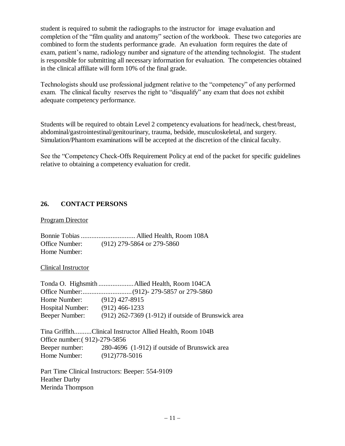student is required to submit the radiographs to the instructor for image evaluation and completion of the "film quality and anatomy" section of the workbook. These two categories are combined to form the students performance grade. An evaluation form requires the date of exam, patient's name, radiology number and signature of the attending technologist. The student is responsible for submitting all necessary information for evaluation. The competencies obtained in the clinical affiliate will form 10% of the final grade.

Technologists should use professional judgment relative to the "competency" of any performed exam. The clinical faculty reserves the right to "disqualify" any exam that does not exhibit adequate competency performance.

Students will be required to obtain Level 2 competency evaluations for head/neck, chest/breast, abdominal/gastrointestinal/genitourinary, trauma, bedside, musculoskeletal, and surgery. Simulation/Phantom examinations will be accepted at the discretion of the clinical faculty.

See the "Competency Check-Offs Requirement Policy at end of the packet for specific guidelines relative to obtaining a competency evaluation for credit.

### **26. CONTACT PERSONS**

Program Director

Bonnie Tobias ............................... Allied Health, Room 108A Office Number: (912) 279-5864 or 279-5860 Home Number:

#### Clinical Instructor

| Home Number: (912) 427-8915     |                                                              |
|---------------------------------|--------------------------------------------------------------|
| Hospital Number: (912) 466-1233 |                                                              |
| Beeper Number:                  | (912) 262-7369 (1-912) if outside of Brunswick area          |
|                                 | Tina GriffithClinical Instructor Allied Health, Room 104B    |
| Office number: (912)-279-5856   |                                                              |
|                                 | Beeper number: 280-4696 (1-912) if outside of Brunswick area |
| Home Number: (912)778-5016      |                                                              |
|                                 |                                                              |

Part Time Clinical Instructors: Beeper: 554-9109 Heather Darby Merinda Thompson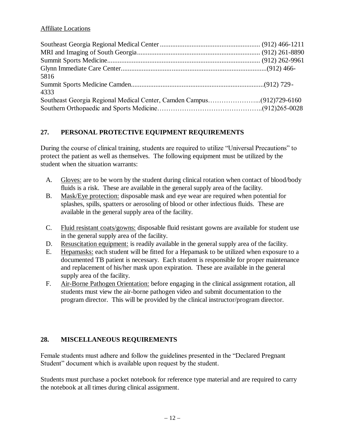### Affiliate Locations

| 5816 |  |
|------|--|
|      |  |
| 4333 |  |
|      |  |
|      |  |

## **27. PERSONAL PROTECTIVE EQUIPMENT REQUIREMENTS**

During the course of clinical training, students are required to utilize "Universal Precautions" to protect the patient as well as themselves. The following equipment must be utilized by the student when the situation warrants:

- A. Gloves: are to be worn by the student during clinical rotation when contact of blood/body fluids is a risk. These are available in the general supply area of the facility.
- B. Mask/Eye protection: disposable mask and eye wear are required when potential for splashes, spills, spatters or aerosoling of blood or other infectious fluids. These are available in the general supply area of the facility.
- C. Fluid resistant coats/gowns: disposable fluid resistant gowns are available for student use in the general supply area of the facility.
- D. Resuscitation equipment: is readily available in the general supply area of the facility.
- E. Hepamasks: each student will be fitted for a Hepamask to be utilized when exposure to a documented TB patient is necessary. Each student is responsible for proper maintenance and replacement of his/her mask upon expiration. These are available in the general supply area of the facility.
- F. Air-Borne Pathogen Orientation: before engaging in the clinical assignment rotation, all students must view the air-borne pathogen video and submit documentation to the program director. This will be provided by the clinical instructor/program director.

## **28. MISCELLANEOUS REQUIREMENTS**

Female students must adhere and follow the guidelines presented in the "Declared Pregnant Student" document which is available upon request by the student.

Students must purchase a pocket notebook for reference type material and are required to carry the notebook at all times during clinical assignment.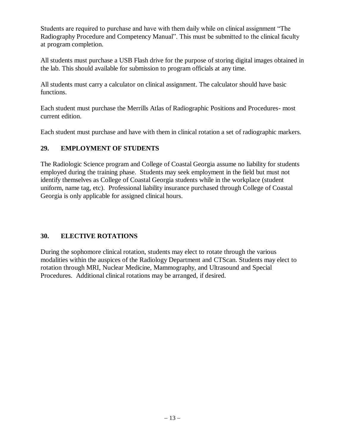Students are required to purchase and have with them daily while on clinical assignment "The Radiography Procedure and Competency Manual". This must be submitted to the clinical faculty at program completion.

All students must purchase a USB Flash drive for the purpose of storing digital images obtained in the lab. This should available for submission to program officials at any time.

All students must carry a calculator on clinical assignment. The calculator should have basic functions.

Each student must purchase the Merrills Atlas of Radiographic Positions and Procedures- most current edition.

Each student must purchase and have with them in clinical rotation a set of radiographic markers.

### **29. EMPLOYMENT OF STUDENTS**

The Radiologic Science program and College of Coastal Georgia assume no liability for students employed during the training phase. Students may seek employment in the field but must not identify themselves as College of Coastal Georgia students while in the workplace (student uniform, name tag, etc). Professional liability insurance purchased through College of Coastal Georgia is only applicable for assigned clinical hours.

## **30. ELECTIVE ROTATIONS**

During the sophomore clinical rotation, students may elect to rotate through the various modalities within the auspices of the Radiology Department and CTScan. Students may elect to rotation through MRI, Nuclear Medicine, Mammography, and Ultrasound and Special Procedures. Additional clinical rotations may be arranged, if desired.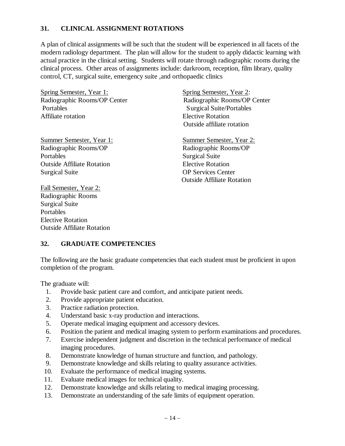#### **31. CLINICAL ASSIGNMENT ROTATIONS**

A plan of clinical assignments will be such that the student will be experienced in all facets of the modern radiology department. The plan will allow for the student to apply didactic learning with actual practice in the clinical setting. Students will rotate through radiographic rooms during the clinical process. Other areas of assignments include: darkroom, reception, film library, quality control, CT, surgical suite, emergency suite ,and orthopaedic clinics

Spring Semester, Year 1: Spring Semester, Year 2: Radiographic Rooms/OP Center Radiographic Rooms/OP Center Portables Surgical Suite/Portables Affiliate rotation **Elective Rotation** 

Summer Semester, Year 1: Summer Semester, Year 2: Radiographic Rooms/OP Radiographic Rooms/OP Portables Surgical Suite Outside Affiliate Rotation Elective Rotation Surgical Suite OP Services Center

Fall Semester, Year 2: Radiographic Rooms Surgical Suite Portables Elective Rotation Outside Affiliate Rotation Outside affiliate rotation

Outside Affiliate Rotation

#### **32. GRADUATE COMPETENCIES**

The following are the basic graduate competencies that each student must be proficient in upon completion of the program.

The graduate will:

- 1. Provide basic patient care and comfort, and anticipate patient needs.
- 2. Provide appropriate patient education.
- 3. Practice radiation protection.
- 4. Understand basic x-ray production and interactions.
- 5. Operate medical imaging equipment and accessory devices.
- 6. Position the patient and medical imaging system to perform examinations and procedures.
- 7. Exercise independent judgment and discretion in the technical performance of medical imaging procedures.
- 8. Demonstrate knowledge of human structure and function, and pathology.
- 9. Demonstrate knowledge and skills relating to quality assurance activities.
- 10. Evaluate the performance of medical imaging systems.
- 11. Evaluate medical images for technical quality.
- 12. Demonstrate knowledge and skills relating to medical imaging processing.
- 13. Demonstrate an understanding of the safe limits of equipment operation.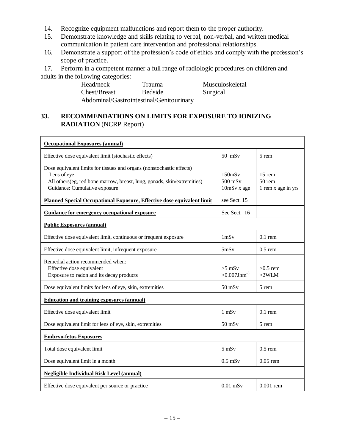- 14. Recognize equipment malfunctions and report them to the proper authority.
- 15. Demonstrate knowledge and skills relating to verbal, non-verbal, and written medical communication in patient care intervention and professional relationships.
- 16. Demonstrate a support of the profession's code of ethics and comply with the profession's scope of practice.

17. Perform in a competent manner a full range of radiologic procedures on children and adults in the following categories:

> Head/neck Trauma Musculoskeletal Chest/Breast Bedside Surgical Abdominal/Gastrointestinal/Genitourinary

## **33. RECOMMENDATIONS ON LIMITS FOR EXPOSURE TO IONIZING RADIATION** (NCRP Report)

| <b>Occupational Exposures (annual)</b>                                                                                                                                                           |                                                      |                                            |  |  |
|--------------------------------------------------------------------------------------------------------------------------------------------------------------------------------------------------|------------------------------------------------------|--------------------------------------------|--|--|
| Effective dose equivalent limit (stochastic effects)                                                                                                                                             | $50$ mSv                                             | 5 rem                                      |  |  |
| Dose equivalent limits for tissues and organs (nonstochastic effects)<br>Lens of eye<br>All others(eg, red bone marrow, breast, lung, gonads, skin/extremities)<br>Guidance: Cumulative exposure | $150$ m $Sv$<br>$500$ mS <sub>v</sub><br>10mSv x age | $15$ rem<br>$50$ rem<br>1 rem x age in yrs |  |  |
| Planned Special Occupational Exposure, Effective dose equivalent limit                                                                                                                           | see Sect. 15                                         |                                            |  |  |
| Guidance for emergency occupational exposure                                                                                                                                                     | See Sect. 16                                         |                                            |  |  |
| <b>Public Exposures (annual)</b>                                                                                                                                                                 |                                                      |                                            |  |  |
| Effective dose equivalent limit, continuous or frequent exposure                                                                                                                                 | 1 <sub>m</sub> Sv                                    | $0.1$ rem                                  |  |  |
| Effective dose equivalent limit, infrequent exposure                                                                                                                                             | 5mSv                                                 | $0.5$ rem                                  |  |  |
| Remedial action recommended when:<br>Effective dose equivalent<br>Exposure to radon and its decay products                                                                                       | $>5$ mSv<br>$>0.007$ Jhm <sup>-3</sup>               | $>0.5$ rem<br>$>2$ WLM                     |  |  |
| Dose equivalent limits for lens of eye, skin, extremities                                                                                                                                        | $50$ mS $v$                                          | 5 rem                                      |  |  |
| <b>Education and training exposures (annual)</b>                                                                                                                                                 |                                                      |                                            |  |  |
| Effective dose equivalent limit                                                                                                                                                                  | $1$ mS $v$                                           | $0.1$ rem                                  |  |  |
| Dose equivalent limit for lens of eye, skin, extremities                                                                                                                                         | $50$ mS $v$                                          | 5 rem                                      |  |  |
| <b>Embryo-fetus Exposures</b>                                                                                                                                                                    |                                                      |                                            |  |  |
| Total dose equivalent limit                                                                                                                                                                      | $5$ mS $v$                                           | $0.5$ rem                                  |  |  |
| Dose equivalent limit in a month                                                                                                                                                                 | $0.5$ mS $v$                                         | $0.05$ rem                                 |  |  |
| <b>Negligible Individual Risk Level (annual)</b>                                                                                                                                                 |                                                      |                                            |  |  |
| Effective dose equivalent per source or practice                                                                                                                                                 | $0.01$ mS <sub>v</sub>                               | $0.001$ rem                                |  |  |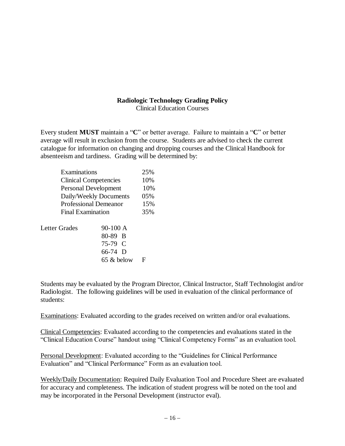### **Radiologic Technology Grading Policy**

Clinical Education Courses

Every student **MUST** maintain a "**C**" or better average. Failure to maintain a "**C**" or better average will result in exclusion from the course. Students are advised to check the current catalogue for information on changing and dropping courses and the Clinical Handbook for absenteeism and tardiness. Grading will be determined by:

| Examinations                 |            | 25% |
|------------------------------|------------|-----|
| <b>Clinical Competencies</b> |            | 10% |
| <b>Personal Development</b>  |            | 10% |
| Daily/Weekly Documents       |            | 05% |
| Professional Demeanor        |            | 15% |
| <b>Final Examination</b>     |            | 35% |
|                              |            |     |
| Letter Grades                | 90-100 A   |     |
|                              | 80-89 B    |     |
|                              | 75-79 C    |     |
|                              | $66-74$ D  |     |
|                              | 65 & below | F   |
|                              |            |     |

Students may be evaluated by the Program Director, Clinical Instructor, Staff Technologist and/or Radiologist. The following guidelines will be used in evaluation of the clinical performance of students:

Examinations: Evaluated according to the grades received on written and/or oral evaluations.

Clinical Competencies: Evaluated according to the competencies and evaluations stated in the "Clinical Education Course" handout using "Clinical Competency Forms" as an evaluation tool.

Personal Development: Evaluated according to the "Guidelines for Clinical Performance Evaluation" and "Clinical Performance" Form as an evaluation tool.

Weekly/Daily Documentation: Required Daily Evaluation Tool and Procedure Sheet are evaluated for accuracy and completeness. The indication of student progress will be noted on the tool and may be incorporated in the Personal Development (instructor eval).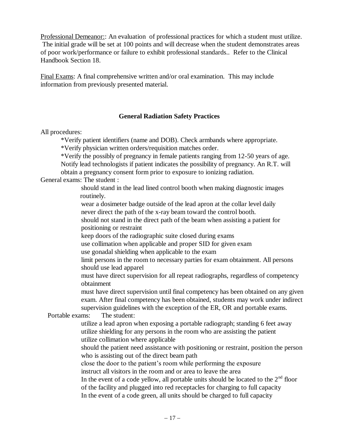Professional Demeanor:: An evaluation of professional practices for which a student must utilize. The initial grade will be set at 100 points and will decrease when the student demonstrates areas of poor work/performance or failure to exhibit professional standards.. Refer to the Clinical Handbook Section 18.

Final Exams: A final comprehensive written and/or oral examination. This may include information from previously presented material.

#### **General Radiation Safety Practices**

All procedures:

\*Verify patient identifiers (name and DOB). Check armbands where appropriate.

\*Verify physician written orders/requisition matches order.

\*Verify the possibly of pregnancy in female patients ranging from 12-50 years of age. Notify lead technologists if patient indicates the possibility of pregnancy. An R.T. will

obtain a pregnancy consent form prior to exposure to ionizing radiation.

General exams: The student :

should stand in the lead lined control booth when making diagnostic images routinely.

wear a dosimeter badge outside of the lead apron at the collar level daily never direct the path of the x-ray beam toward the control booth.

should not stand in the direct path of the beam when assisting a patient for positioning or restraint

keep doors of the radiographic suite closed during exams

use collimation when applicable and proper SID for given exam

use gonadal shielding when applicable to the exam

limit persons in the room to necessary parties for exam obtainment. All persons should use lead apparel

must have direct supervision for all repeat radiographs, regardless of competency obtainment

must have direct supervision until final competency has been obtained on any given exam. After final competency has been obtained, students may work under indirect supervision guidelines with the exception of the ER, OR and portable exams.

Portable exams: The student:

utilize a lead apron when exposing a portable radiograph; standing 6 feet away utilize shielding for any persons in the room who are assisting the patient utilize collimation where applicable

should the patient need assistance with positioning or restraint, position the person who is assisting out of the direct beam path

close the door to the patient's room while performing the exposure instruct all visitors in the room and or area to leave the area

In the event of a code yellow, all portable units should be located to the  $2<sup>nd</sup>$  floor of the facility and plugged into red receptacles for charging to full capacity In the event of a code green, all units should be charged to full capacity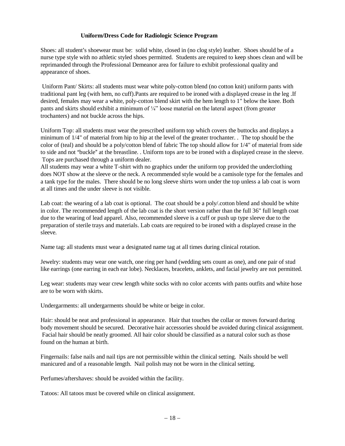#### **Uniform/Dress Code for Radiologic Science Program**

Shoes: all student's shoewear must be: solid white, closed in (no clog style) leather. Shoes should be of a nurse type style with no athletic styled shoes permitted. Students are required to keep shoes clean and will be reprimanded through the Professional Demeanor area for failure to exhibit professional quality and appearance of shoes.

Uniform Pant/ Skirts: all students must wear white poly-cotton blend (no cotton knit) uniform pants with traditional pant leg (with hem, no cuff).Pants are required to be ironed with a displayed crease in the leg .If desired, females may wear a white, poly-cotton blend skirt with the hem length to 1" below the knee. Both pants and skirts should exhibit a minimum of ¼" loose material on the lateral aspect (from greater trochanters) and not buckle across the hips.

Uniform Top: all students must wear the prescribed uniform top which covers the buttocks and displays a minimum of 1/4" of material from hip to hip at the level of the greater trochanter. . The top should be the color of (teal) and should be a poly/cotton blend of fabric The top should allow for 1/4" of material from side to side and not "buckle" at the breastline. . Uniform tops are to be ironed with a displayed crease in the sleeve. Tops are purchased through a uniform dealer.

All students may wear a white T-shirt with no graphics under the uniform top provided the underclothing does NOT show at the sleeve or the neck. A recommended style would be a camisole type for the females and a tank type for the males. There should be no long sleeve shirts worn under the top unless a lab coat is worn at all times and the under sleeve is not visible.

Lab coat: the wearing of a lab coat is optional. The coat should be a poly/.cotton blend and should be white in color. The recommended length of the lab coat is the short version rather than the full 36" full length coat due to the wearing of lead apparel. Also, recommended sleeve is a cuff or push up type sleeve due to the preparation of sterile trays and materials. Lab coats are required to be ironed with a displayed crease in the sleeve.

Name tag: all students must wear a designated name tag at all times during clinical rotation.

Jewelry: students may wear one watch, one ring per hand (wedding sets count as one), and one pair of stud like earrings (one earring in each ear lobe). Necklaces, bracelets, anklets, and facial jewelry are not permitted.

Leg wear: students may wear crew length white socks with no color accents with pants outfits and white hose are to be worn with skirts.

Undergarments: all undergarments should be white or beige in color.

Hair: should be neat and professional in appearance. Hair that touches the collar or moves forward during body movement should be secured. Decorative hair accessories should be avoided during clinical assignment. Facial hair should be neatly groomed. All hair color should be classified as a natural color such as those found on the human at birth.

Fingernails: false nails and nail tips are not permissible within the clinical setting. Nails should be well manicured and of a reasonable length. Nail polish may not be worn in the clinical setting.

Perfumes/aftershaves: should be avoided within the facility.

Tatoos: All tatoos must be covered while on clinical assignment.